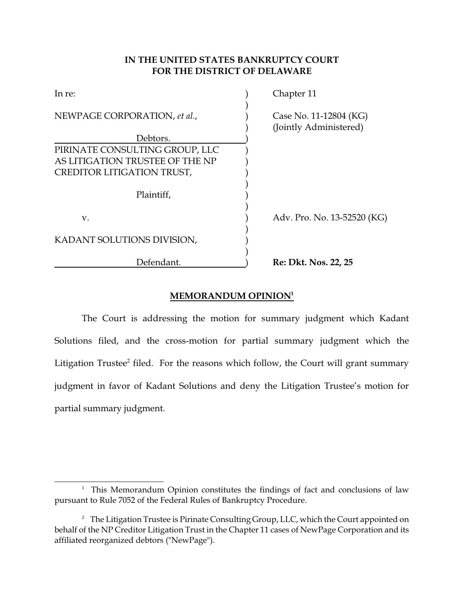# **IN THE UNITED STATES BANKRUPTCY COURT FOR THE DISTRICT OF DELAWARE**

| In re:                          | Chapter 11                                       |
|---------------------------------|--------------------------------------------------|
| NEWPAGE CORPORATION, et al.,    | Case No. 11-12804 (KG)<br>(Jointly Administered) |
| Debtors.                        |                                                  |
| PIRINATE CONSULTING GROUP, LLC  |                                                  |
| AS LITIGATION TRUSTEE OF THE NP |                                                  |
| CREDITOR LITIGATION TRUST,      |                                                  |
| Plaintiff,                      |                                                  |
| V.                              | Adv. Pro. No. 13-52520 (KG)                      |
| KADANT SOLUTIONS DIVISION,      |                                                  |
| Defendant.                      | Re: Dkt. Nos. 22, 25                             |

# **MEMORANDUM OPINION<sup>1</sup>**

The Court is addressing the motion for summary judgment which Kadant Solutions filed, and the cross-motion for partial summary judgment which the Litigation Trustee<sup>2</sup> filed. For the reasons which follow, the Court will grant summary judgment in favor of Kadant Solutions and deny the Litigation Trustee's motion for partial summary judgment.

<sup>&</sup>lt;sup>1</sup> This Memorandum Opinion constitutes the findings of fact and conclusions of law pursuant to Rule 7052 of the Federal Rules of Bankruptcy Procedure.

<sup>&</sup>lt;sup>2</sup> The Litigation Trustee is Pirinate Consulting Group, LLC, which the Court appointed on behalf of the NP Creditor Litigation Trust in the Chapter 11 cases of NewPage Corporation and its affiliated reorganized debtors ("NewPage").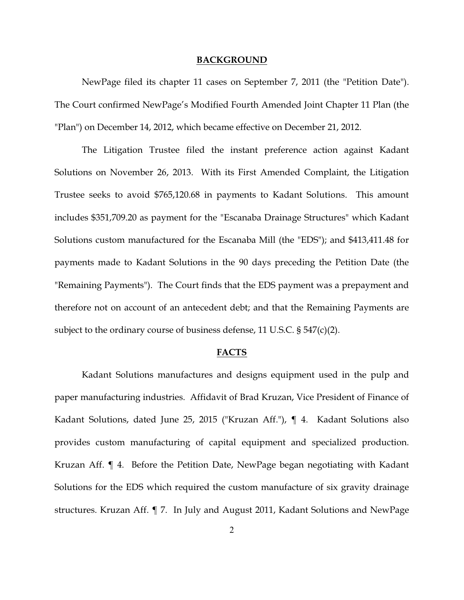#### **BACKGROUND**

NewPage filed its chapter 11 cases on September 7, 2011 (the "Petition Date"). The Court confirmed NewPage's Modified Fourth Amended Joint Chapter 11 Plan (the "Plan") on December 14, 2012, which became effective on December 21, 2012.

The Litigation Trustee filed the instant preference action against Kadant Solutions on November 26, 2013. With its First Amended Complaint, the Litigation Trustee seeks to avoid \$765,120.68 in payments to Kadant Solutions. This amount includes \$351,709.20 as payment for the "Escanaba Drainage Structures" which Kadant Solutions custom manufactured for the Escanaba Mill (the "EDS"); and \$413,411.48 for payments made to Kadant Solutions in the 90 days preceding the Petition Date (the "Remaining Payments"). The Court finds that the EDS payment was a prepayment and therefore not on account of an antecedent debt; and that the Remaining Payments are subject to the ordinary course of business defense, 11 U.S.C. § 547(c)(2).

### **FACTS**

Kadant Solutions manufactures and designs equipment used in the pulp and paper manufacturing industries. Affidavit of Brad Kruzan, Vice President of Finance of Kadant Solutions, dated June 25, 2015 ("Kruzan Aff."), ¶ 4. Kadant Solutions also provides custom manufacturing of capital equipment and specialized production. Kruzan Aff. ¶ 4. Before the Petition Date, NewPage began negotiating with Kadant Solutions for the EDS which required the custom manufacture of six gravity drainage structures. Kruzan Aff. ¶ 7. In July and August 2011, Kadant Solutions and NewPage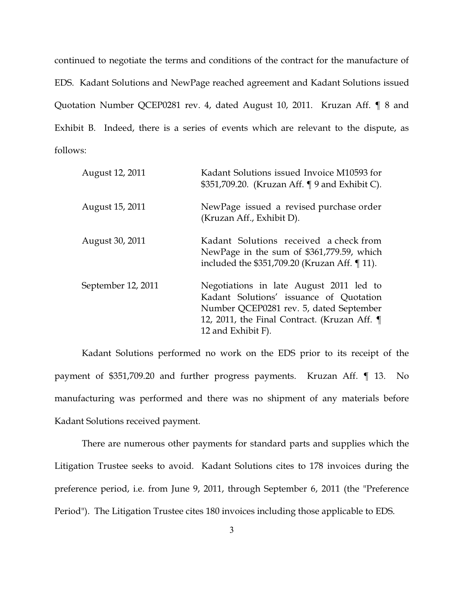continued to negotiate the terms and conditions of the contract for the manufacture of EDS. Kadant Solutions and NewPage reached agreement and Kadant Solutions issued Quotation Number QCEP0281 rev. 4, dated August 10, 2011. Kruzan Aff. ¶ 8 and Exhibit B. Indeed, there is a series of events which are relevant to the dispute, as follows:

| August 12, 2011    | Kadant Solutions issued Invoice M10593 for<br>\$351,709.20. (Kruzan Aff. ¶ 9 and Exhibit C).                                                                                                        |
|--------------------|-----------------------------------------------------------------------------------------------------------------------------------------------------------------------------------------------------|
| August 15, 2011    | NewPage issued a revised purchase order<br>(Kruzan Aff., Exhibit D).                                                                                                                                |
| August 30, 2011    | Kadant Solutions received a check from<br>NewPage in the sum of \$361,779.59, which<br>included the \$351,709.20 (Kruzan Aff. 11).                                                                  |
| September 12, 2011 | Negotiations in late August 2011 led to<br>Kadant Solutions' issuance of Quotation<br>Number QCEP0281 rev. 5, dated September<br>12, 2011, the Final Contract. (Kruzan Aff. ¶<br>12 and Exhibit F). |

Kadant Solutions performed no work on the EDS prior to its receipt of the payment of \$351,709.20 and further progress payments. Kruzan Aff. ¶ 13. No manufacturing was performed and there was no shipment of any materials before Kadant Solutions received payment.

There are numerous other payments for standard parts and supplies which the Litigation Trustee seeks to avoid. Kadant Solutions cites to 178 invoices during the preference period, i.e. from June 9, 2011, through September 6, 2011 (the "Preference Period"). The Litigation Trustee cites 180 invoices including those applicable to EDS.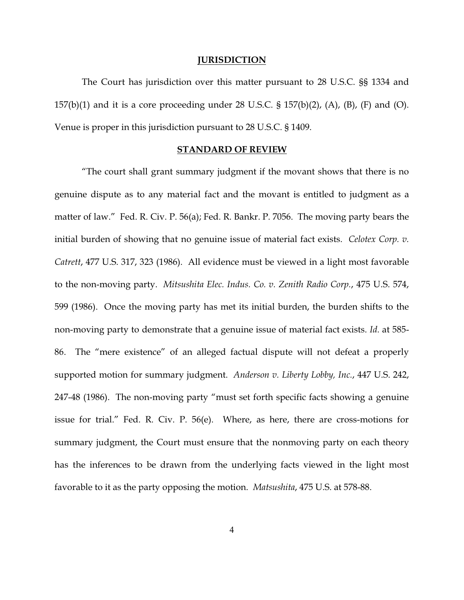#### **JURISDICTION**

The Court has jurisdiction over this matter pursuant to 28 U.S.C. §§ 1334 and 157(b)(1) and it is a core proceeding under 28 U.S.C. § 157(b)(2), (A), (B), (F) and (O). Venue is proper in this jurisdiction pursuant to 28 U.S.C. § 1409.

### **STANDARD OF REVIEW**

"The court shall grant summary judgment if the movant shows that there is no genuine dispute as to any material fact and the movant is entitled to judgment as a matter of law." Fed. R. Civ. P. 56(a); Fed. R. Bankr. P. 7056. The moving party bears the initial burden of showing that no genuine issue of material fact exists. *Celotex Corp. v. Catrett*, 477 U.S. 317, 323 (1986). All evidence must be viewed in a light most favorable to the non-moving party. *Mitsushita Elec. Indus. Co. v. Zenith Radio Corp.*, 475 U.S. 574, 599 (1986). Once the moving party has met its initial burden, the burden shifts to the non-moving party to demonstrate that a genuine issue of material fact exists. *Id.* at 585- 86. The "mere existence" of an alleged factual dispute will not defeat a properly supported motion for summary judgment. *Anderson v. Liberty Lobby, Inc.*, 447 U.S. 242, 247-48 (1986). The non-moving party "must set forth specific facts showing a genuine issue for trial." Fed. R. Civ. P. 56(e). Where, as here, there are cross-motions for summary judgment, the Court must ensure that the nonmoving party on each theory has the inferences to be drawn from the underlying facts viewed in the light most favorable to it as the party opposing the motion. *Matsushita*, 475 U.S. at 578-88.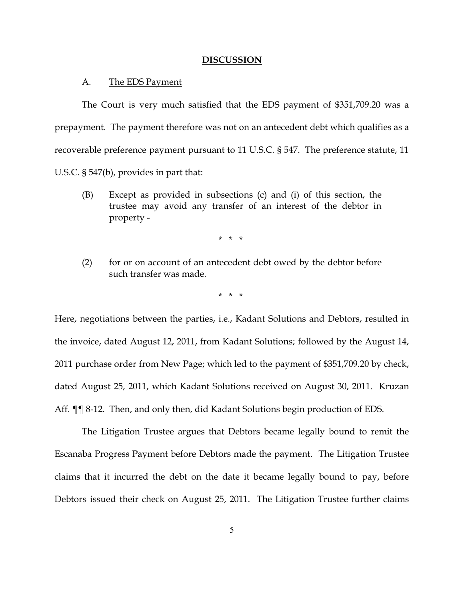#### **DISCUSSION**

#### A. The EDS Payment

The Court is very much satisfied that the EDS payment of \$351,709.20 was a prepayment. The payment therefore was not on an antecedent debt which qualifies as a recoverable preference payment pursuant to 11 U.S.C. § 547. The preference statute, 11 U.S.C. § 547(b), provides in part that:

(B) Except as provided in subsections (c) and (i) of this section, the trustee may avoid any transfer of an interest of the debtor in property -

\* \* \*

(2) for or on account of an antecedent debt owed by the debtor before such transfer was made.

\* \* \*

Here, negotiations between the parties, i.e., Kadant Solutions and Debtors, resulted in the invoice, dated August 12, 2011, from Kadant Solutions; followed by the August 14, 2011 purchase order from New Page; which led to the payment of \$351,709.20 by check, dated August 25, 2011, which Kadant Solutions received on August 30, 2011. Kruzan Aff. ¶¶ 8-12. Then, and only then, did Kadant Solutions begin production of EDS.

The Litigation Trustee argues that Debtors became legally bound to remit the Escanaba Progress Payment before Debtors made the payment. The Litigation Trustee claims that it incurred the debt on the date it became legally bound to pay, before Debtors issued their check on August 25, 2011. The Litigation Trustee further claims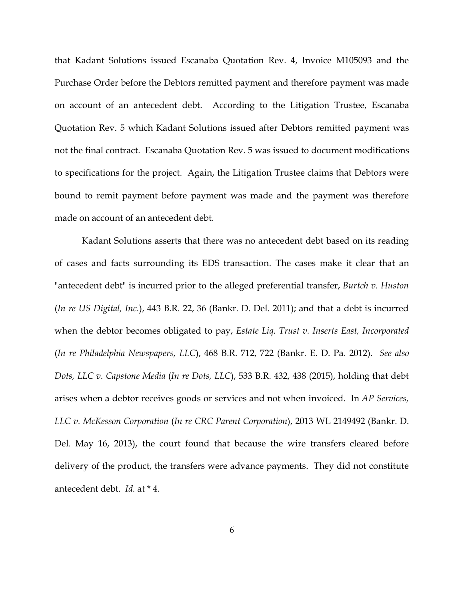that Kadant Solutions issued Escanaba Quotation Rev. 4, Invoice M105093 and the Purchase Order before the Debtors remitted payment and therefore payment was made on account of an antecedent debt. According to the Litigation Trustee, Escanaba Quotation Rev. 5 which Kadant Solutions issued after Debtors remitted payment was not the final contract. Escanaba Quotation Rev. 5 was issued to document modifications to specifications for the project. Again, the Litigation Trustee claims that Debtors were bound to remit payment before payment was made and the payment was therefore made on account of an antecedent debt.

Kadant Solutions asserts that there was no antecedent debt based on its reading of cases and facts surrounding its EDS transaction. The cases make it clear that an "antecedent debt" is incurred prior to the alleged preferential transfer, *Burtch v. Huston* (*In re US Digital, Inc.*), 443 B.R. 22, 36 (Bankr. D. Del. 2011); and that a debt is incurred when the debtor becomes obligated to pay, *Estate Liq. Trust v. Inserts East, Incorporated* (*In re Philadelphia Newspapers, LLC*), 468 B.R. 712, 722 (Bankr. E. D. Pa. 2012). *See also Dots, LLC v. Capstone Media* (*In re Dots, LLC*), 533 B.R. 432, 438 (2015), holding that debt arises when a debtor receives goods or services and not when invoiced. In *AP Services, LLC v. McKesson Corporation* (*In re CRC Parent Corporation*), 2013 WL 2149492 (Bankr. D. Del. May 16, 2013), the court found that because the wire transfers cleared before delivery of the product, the transfers were advance payments. They did not constitute antecedent debt. *Id.* at \* 4.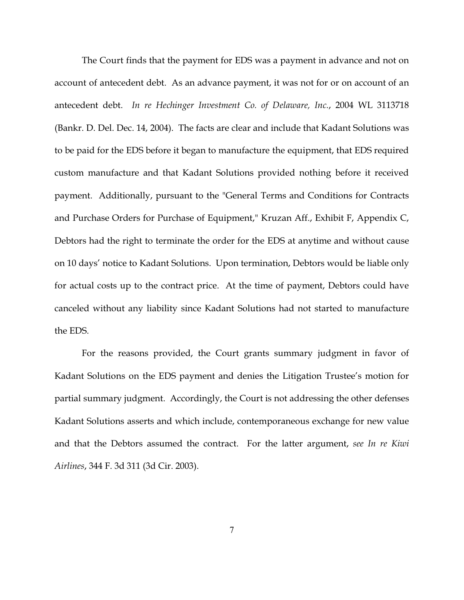The Court finds that the payment for EDS was a payment in advance and not on account of antecedent debt. As an advance payment, it was not for or on account of an antecedent debt. *In re Hechinger Investment Co. of Delaware, Inc.*, 2004 WL 3113718 (Bankr. D. Del. Dec. 14, 2004). The facts are clear and include that Kadant Solutions was to be paid for the EDS before it began to manufacture the equipment, that EDS required custom manufacture and that Kadant Solutions provided nothing before it received payment. Additionally, pursuant to the "General Terms and Conditions for Contracts and Purchase Orders for Purchase of Equipment," Kruzan Aff., Exhibit F, Appendix C, Debtors had the right to terminate the order for the EDS at anytime and without cause on 10 days' notice to Kadant Solutions. Upon termination, Debtors would be liable only for actual costs up to the contract price. At the time of payment, Debtors could have canceled without any liability since Kadant Solutions had not started to manufacture the EDS.

For the reasons provided, the Court grants summary judgment in favor of Kadant Solutions on the EDS payment and denies the Litigation Trustee's motion for partial summary judgment. Accordingly, the Court is not addressing the other defenses Kadant Solutions asserts and which include, contemporaneous exchange for new value and that the Debtors assumed the contract. For the latter argument, *see In re Kiwi Airlines*, 344 F. 3d 311 (3d Cir. 2003).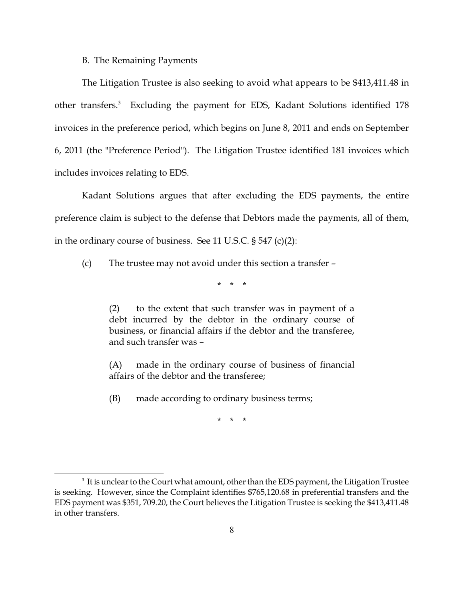#### B. The Remaining Payments

The Litigation Trustee is also seeking to avoid what appears to be \$413,411.48 in other transfers.<sup>3</sup> Excluding the payment for EDS, Kadant Solutions identified 178 invoices in the preference period, which begins on June 8, 2011 and ends on September 6, 2011 (the "Preference Period"). The Litigation Trustee identified 181 invoices which includes invoices relating to EDS.

Kadant Solutions argues that after excluding the EDS payments, the entire preference claim is subject to the defense that Debtors made the payments, all of them, in the ordinary course of business. See 11 U.S.C. § 547 (c)(2):

(c) The trustee may not avoid under this section a transfer –

\* \* \*

(2) to the extent that such transfer was in payment of a debt incurred by the debtor in the ordinary course of business, or financial affairs if the debtor and the transferee, and such transfer was –

(A) made in the ordinary course of business of financial affairs of the debtor and the transferee;

(B) made according to ordinary business terms;

\* \* \*

 $^{\text{\tiny 3}}$  It is unclear to the Court what amount, other than the EDS payment, the Litigation Trustee is seeking. However, since the Complaint identifies \$765,120.68 in preferential transfers and the EDS payment was \$351, 709.20, the Court believes the Litigation Trustee is seeking the \$413,411.48 in other transfers.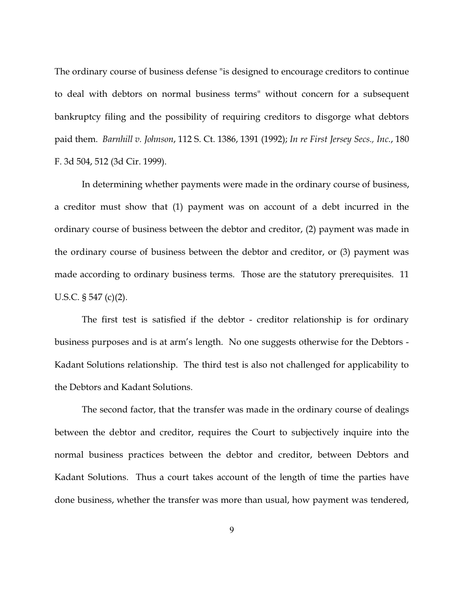The ordinary course of business defense "is designed to encourage creditors to continue to deal with debtors on normal business terms" without concern for a subsequent bankruptcy filing and the possibility of requiring creditors to disgorge what debtors paid them. *Barnhill v. Johnson*, 112 S. Ct. 1386, 1391 (1992); *In re First Jersey Secs., Inc.*, 180 F. 3d 504, 512 (3d Cir. 1999).

In determining whether payments were made in the ordinary course of business, a creditor must show that (1) payment was on account of a debt incurred in the ordinary course of business between the debtor and creditor, (2) payment was made in the ordinary course of business between the debtor and creditor, or (3) payment was made according to ordinary business terms. Those are the statutory prerequisites. 11 U.S.C. § 547 (c)(2).

The first test is satisfied if the debtor - creditor relationship is for ordinary business purposes and is at arm's length. No one suggests otherwise for the Debtors - Kadant Solutions relationship. The third test is also not challenged for applicability to the Debtors and Kadant Solutions.

The second factor, that the transfer was made in the ordinary course of dealings between the debtor and creditor, requires the Court to subjectively inquire into the normal business practices between the debtor and creditor, between Debtors and Kadant Solutions. Thus a court takes account of the length of time the parties have done business, whether the transfer was more than usual, how payment was tendered,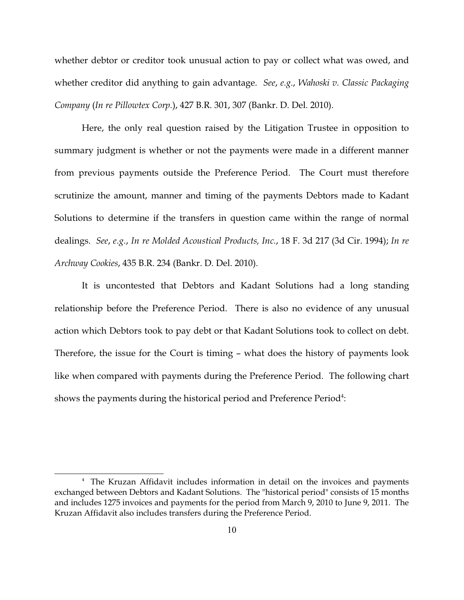whether debtor or creditor took unusual action to pay or collect what was owed, and whether creditor did anything to gain advantage. *See*, *e.g.*, *Wahoski v. Classic Packaging Company* (*In re Pillowtex Corp.*), 427 B.R. 301, 307 (Bankr. D. Del. 2010).

Here, the only real question raised by the Litigation Trustee in opposition to summary judgment is whether or not the payments were made in a different manner from previous payments outside the Preference Period. The Court must therefore scrutinize the amount, manner and timing of the payments Debtors made to Kadant Solutions to determine if the transfers in question came within the range of normal dealings. *See*, *e.g.*, *In re Molded Acoustical Products, Inc.*, 18 F. 3d 217 (3d Cir. 1994); *In re Archway Cookies*, 435 B.R. 234 (Bankr. D. Del. 2010).

It is uncontested that Debtors and Kadant Solutions had a long standing relationship before the Preference Period. There is also no evidence of any unusual action which Debtors took to pay debt or that Kadant Solutions took to collect on debt. Therefore, the issue for the Court is timing – what does the history of payments look like when compared with payments during the Preference Period. The following chart shows the payments during the historical period and Preference Period $^4\!$ :

<sup>4</sup> The Kruzan Affidavit includes information in detail on the invoices and payments exchanged between Debtors and Kadant Solutions. The "historical period" consists of 15 months and includes 1275 invoices and payments for the period from March 9, 2010 to June 9, 2011. The Kruzan Affidavit also includes transfers during the Preference Period.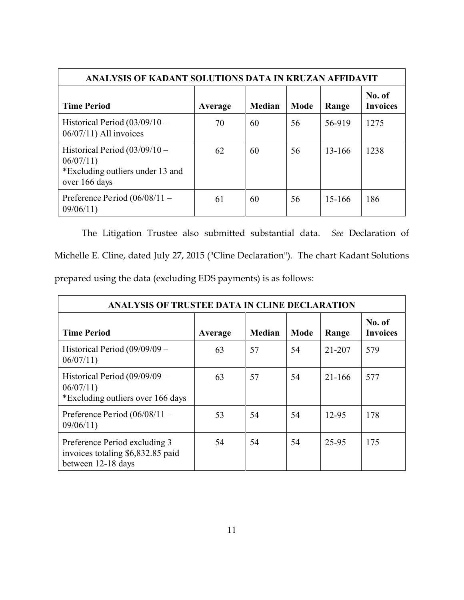| ANALYSIS OF KADANT SOLUTIONS DATA IN KRUZAN AFFIDAVIT                                             |         |        |      |        |                           |
|---------------------------------------------------------------------------------------------------|---------|--------|------|--------|---------------------------|
| <b>Time Period</b>                                                                                | Average | Median | Mode | Range  | No. of<br><b>Invoices</b> |
| Historical Period $(03/09/10 -$<br>$06/07/11$ ) All invoices                                      | 70      | 60     | 56   | 56-919 | 1275                      |
| Historical Period $(03/09/10 -$<br>06/07/11)<br>*Excluding outliers under 13 and<br>over 166 days | 62      | 60     | 56   | 13-166 | 1238                      |
| Preference Period $(06/08/11 -$<br>09/06/11                                                       | 61      | 60     | 56   | 15-166 | 186                       |

The Litigation Trustee also submitted substantial data. *See* Declaration of Michelle E. Cline, dated July 27, 2015 ("Cline Declaration"). The chart Kadant Solutions prepared using the data (excluding EDS payments) is as follows:

| ANALYSIS OF TRUSTEE DATA IN CLINE DECLARATION                                            |         |               |      |            |                           |
|------------------------------------------------------------------------------------------|---------|---------------|------|------------|---------------------------|
| <b>Time Period</b>                                                                       | Average | <b>Median</b> | Mode | Range      | No. of<br><b>Invoices</b> |
| Historical Period $(09/09/09 -$<br>06/07/11)                                             | 63      | 57            | 54   | 21-207     | 579                       |
| Historical Period (09/09/09 –<br>06/07/11<br>*Excluding outliers over 166 days           | 63      | 57            | 54   | $21 - 166$ | 577                       |
| Preference Period $(06/08/11 -$<br>09/06/11                                              | 53      | 54            | 54   | 12-95      | 178                       |
| Preference Period excluding 3<br>invoices totaling \$6,832.85 paid<br>between 12-18 days | 54      | 54            | 54   | 25-95      | 175                       |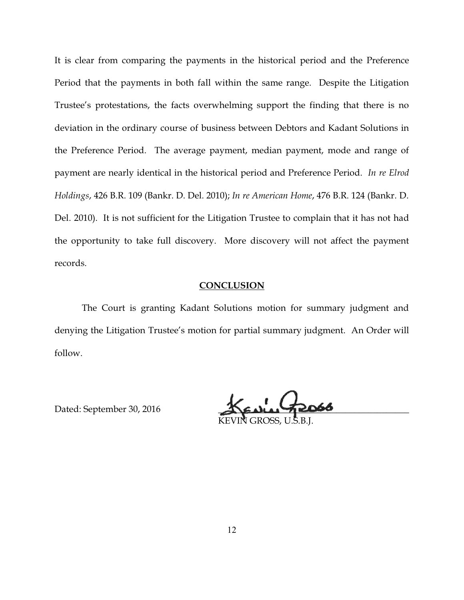It is clear from comparing the payments in the historical period and the Preference Period that the payments in both fall within the same range. Despite the Litigation Trustee's protestations, the facts overwhelming support the finding that there is no deviation in the ordinary course of business between Debtors and Kadant Solutions in the Preference Period. The average payment, median payment, mode and range of payment are nearly identical in the historical period and Preference Period. *In re Elrod Holdings*, 426 B.R. 109 (Bankr. D. Del. 2010); *In re American Home*, 476 B.R. 124 (Bankr. D. Del. 2010). It is not sufficient for the Litigation Trustee to complain that it has not had the opportunity to take full discovery. More discovery will not affect the payment records.

### **CONCLUSION**

The Court is granting Kadant Solutions motion for summary judgment and denying the Litigation Trustee's motion for partial summary judgment. An Order will follow.

Dated: September 30, 2016

KEVIN GROSS, U.S.B.J.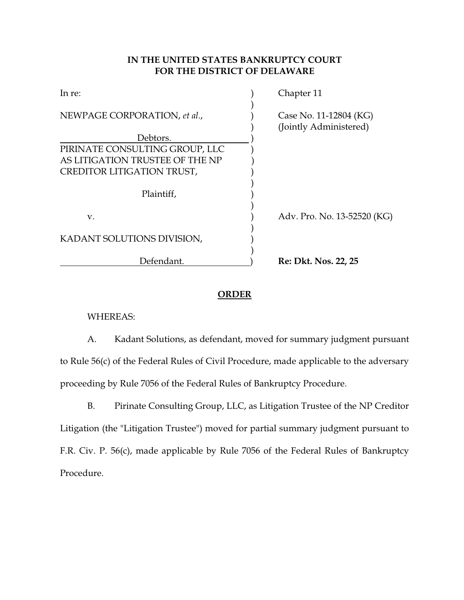# **IN THE UNITED STATES BANKRUPTCY COURT FOR THE DISTRICT OF DELAWARE**

| In re:                            | Chapter 11                                       |
|-----------------------------------|--------------------------------------------------|
| NEWPAGE CORPORATION, et al.,      | Case No. 11-12804 (KG)<br>(Jointly Administered) |
| Debtors.                          |                                                  |
| PIRINATE CONSULTING GROUP, LLC    |                                                  |
| AS LITIGATION TRUSTEE OF THE NP   |                                                  |
| <b>CREDITOR LITIGATION TRUST,</b> |                                                  |
| Plaintiff,                        |                                                  |
| V.                                | Adv. Pro. No. 13-52520 (KG)                      |
| KADANT SOLUTIONS DIVISION,        |                                                  |
| Defendant.                        | Re: Dkt. Nos. 22, 25                             |

### **ORDER**

## WHEREAS:

A. Kadant Solutions, as defendant, moved for summary judgment pursuant to Rule 56(c) of the Federal Rules of Civil Procedure, made applicable to the adversary proceeding by Rule 7056 of the Federal Rules of Bankruptcy Procedure.

B. Pirinate Consulting Group, LLC, as Litigation Trustee of the NP Creditor Litigation (the "Litigation Trustee") moved for partial summary judgment pursuant to F.R. Civ. P. 56(c), made applicable by Rule 7056 of the Federal Rules of Bankruptcy Procedure.